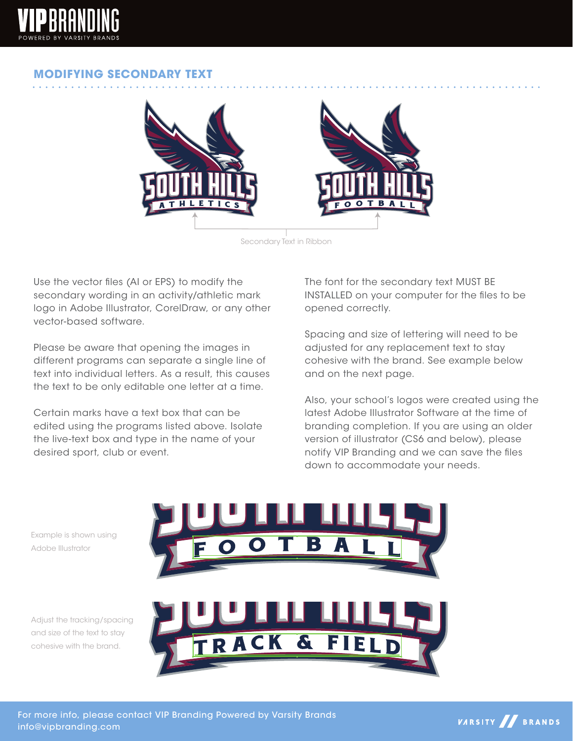

## **MODIFYING SECONDARY TEXT**



Secondary Text in Ribbon

Use the vector files (AI or EPS) to modify the secondary wording in an activity/athletic mark logo in Adobe Illustrator, CorelDraw, or any other vector-based software.

Please be aware that opening the images in different programs can separate a single line of text into individual letters. As a result, this causes the text to be only editable one letter at a time.

Certain marks have a text box that can be edited using the programs listed above. Isolate the live-text box and type in the name of your desired sport, club or event.

The font for the secondary text MUST BE INSTALLED on your computer for the files to be opened correctly.

Spacing and size of lettering will need to be adjusted for any replacement text to stay cohesive with the brand. See example below and on the next page.

Also, your school's logos were created using the latest Adobe Illustrator Software at the time of branding completion. If you are using an older version of illustrator (CS6 and below), please notify VIP Branding and we can save the files down to accommodate your needs.

Example is shown using Adobe Illustrator

Adjust the tracking/spacing and size of the text to stay cohesive with the brand.